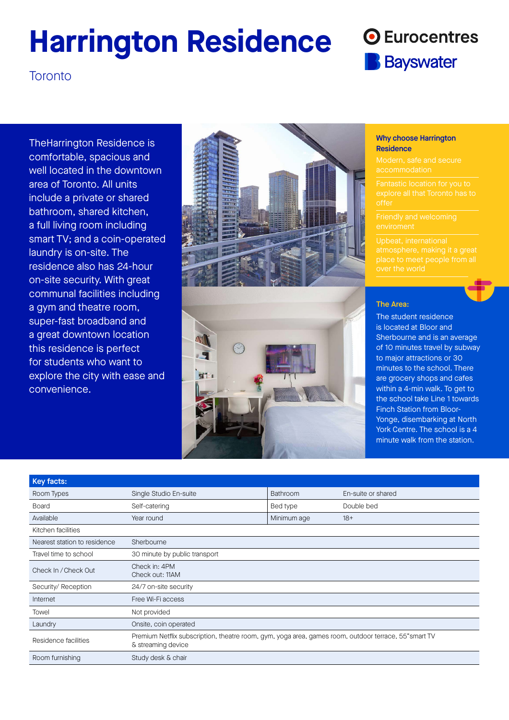# **Harrington Residence**

## **O** Eurocentres **Bayswater**

**Toronto** 

TheHarrington Residence is comfortable, spacious and well located in the downtown area of Toronto. All units include a private or shared bathroom, shared kitchen, a full living room including smart TV; and a coin-operated laundry is on-site. The residence also has 24-hour on-site security. With great communal facilities including a gym and theatre room, super-fast broadband and a great downtown location this residence is perfect for students who want to explore the city with ease and convenience.



#### Why choose Harrington **Residence**

#### The Area:

The student residence is located at Bloor and Sherbourne and is an average of 10 minutes travel by subway to major attractions or 30 minutes to the school. There are grocery shops and cafes within a 4-min walk. To get to the school take Line 1 towards Finch Station from Bloor-Yonge, disembarking at North York Centre. The school is a 4 minute walk from the station.

| Key facts:                   |                                                                                                                             |                 |                    |
|------------------------------|-----------------------------------------------------------------------------------------------------------------------------|-----------------|--------------------|
| Room Types                   | Single Studio En-suite                                                                                                      | <b>Bathroom</b> | En-suite or shared |
| <b>Board</b>                 | Self-catering                                                                                                               | Bed type        | Double bed         |
| Available                    | Year round                                                                                                                  | Minimum age     | $18+$              |
| Kitchen facilities           |                                                                                                                             |                 |                    |
| Nearest station to residence | Sherbourne                                                                                                                  |                 |                    |
| Travel time to school        | 30 minute by public transport                                                                                               |                 |                    |
| Check In / Check Out         | Check in: 4PM<br>Check out: 11AM                                                                                            |                 |                    |
| Security/ Reception          | 24/7 on-site security                                                                                                       |                 |                    |
| Internet                     | Free Wi-Fi access                                                                                                           |                 |                    |
| Towel                        | Not provided                                                                                                                |                 |                    |
| Laundry                      | Onsite, coin operated                                                                                                       |                 |                    |
| Residence facilities         | Premium Netflix subscription, theatre room, gym, yoga area, games room, outdoor terrace, 55" smart TV<br>& streaming device |                 |                    |
| Room furnishing              | Study desk & chair                                                                                                          |                 |                    |